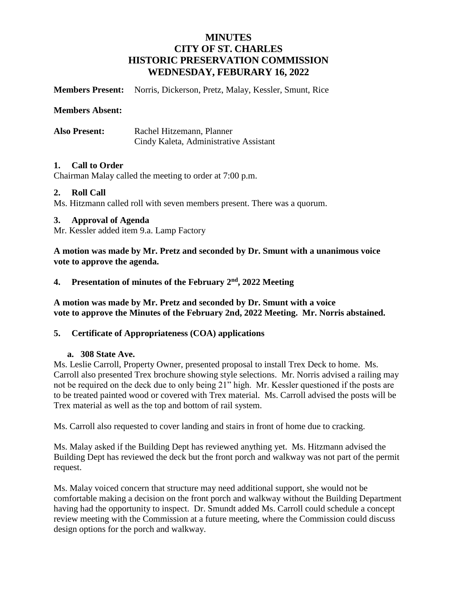## **MINUTES CITY OF ST. CHARLES HISTORIC PRESERVATION COMMISSION WEDNESDAY, FEBURARY 16, 2022**

**Members Present:** Norris, Dickerson, Pretz, Malay, Kessler, Smunt, Rice

**Members Absent:**

**Also Present:** Rachel Hitzemann, Planner Cindy Kaleta, Administrative Assistant

#### **1. Call to Order**

Chairman Malay called the meeting to order at 7:00 p.m.

#### **2. Roll Call**

Ms. Hitzmann called roll with seven members present. There was a quorum.

#### **3. Approval of Agenda**

Mr. Kessler added item 9.a. Lamp Factory

**A motion was made by Mr. Pretz and seconded by Dr. Smunt with a unanimous voice vote to approve the agenda.** 

#### 4. Presentation of minutes of the February 2<sup>nd</sup>, 2022 Meeting

**A motion was made by Mr. Pretz and seconded by Dr. Smunt with a voice vote to approve the Minutes of the February 2nd, 2022 Meeting. Mr. Norris abstained.**

#### **5. Certificate of Appropriateness (COA) applications**

#### **a. 308 State Ave.**

Ms. Leslie Carroll, Property Owner, presented proposal to install Trex Deck to home. Ms. Carroll also presented Trex brochure showing style selections. Mr. Norris advised a railing may not be required on the deck due to only being 21" high. Mr. Kessler questioned if the posts are to be treated painted wood or covered with Trex material. Ms. Carroll advised the posts will be Trex material as well as the top and bottom of rail system.

Ms. Carroll also requested to cover landing and stairs in front of home due to cracking.

Ms. Malay asked if the Building Dept has reviewed anything yet. Ms. Hitzmann advised the Building Dept has reviewed the deck but the front porch and walkway was not part of the permit request.

Ms. Malay voiced concern that structure may need additional support, she would not be comfortable making a decision on the front porch and walkway without the Building Department having had the opportunity to inspect. Dr. Smundt added Ms. Carroll could schedule a concept review meeting with the Commission at a future meeting, where the Commission could discuss design options for the porch and walkway.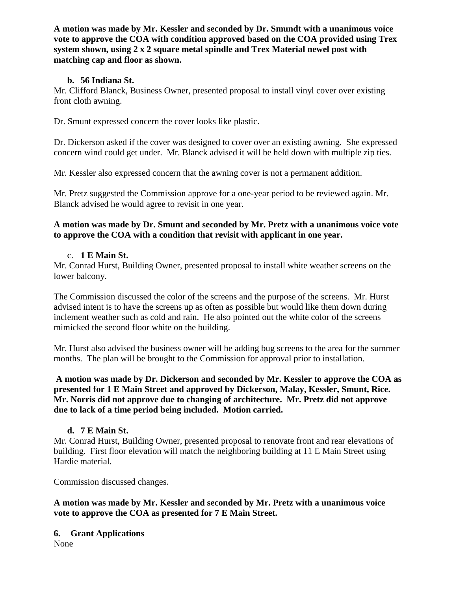**A motion was made by Mr. Kessler and seconded by Dr. Smundt with a unanimous voice vote to approve the COA with condition approved based on the COA provided using Trex system shown, using 2 x 2 square metal spindle and Trex Material newel post with matching cap and floor as shown.**

## **b. 56 Indiana St.**

Mr. Clifford Blanck, Business Owner, presented proposal to install vinyl cover over existing front cloth awning.

Dr. Smunt expressed concern the cover looks like plastic.

Dr. Dickerson asked if the cover was designed to cover over an existing awning. She expressed concern wind could get under. Mr. Blanck advised it will be held down with multiple zip ties.

Mr. Kessler also expressed concern that the awning cover is not a permanent addition.

Mr. Pretz suggested the Commission approve for a one-year period to be reviewed again. Mr. Blanck advised he would agree to revisit in one year.

### **A motion was made by Dr. Smunt and seconded by Mr. Pretz with a unanimous voice vote to approve the COA with a condition that revisit with applicant in one year.**

## c. **1 E Main St.**

Mr. Conrad Hurst, Building Owner, presented proposal to install white weather screens on the lower balcony.

The Commission discussed the color of the screens and the purpose of the screens. Mr. Hurst advised intent is to have the screens up as often as possible but would like them down during inclement weather such as cold and rain. He also pointed out the white color of the screens mimicked the second floor white on the building.

Mr. Hurst also advised the business owner will be adding bug screens to the area for the summer months. The plan will be brought to the Commission for approval prior to installation.

**A motion was made by Dr. Dickerson and seconded by Mr. Kessler to approve the COA as presented for 1 E Main Street and approved by Dickerson, Malay, Kessler, Smunt, Rice. Mr. Norris did not approve due to changing of architecture. Mr. Pretz did not approve due to lack of a time period being included. Motion carried.** 

#### **d. 7 E Main St.**

Mr. Conrad Hurst, Building Owner, presented proposal to renovate front and rear elevations of building. First floor elevation will match the neighboring building at 11 E Main Street using Hardie material.

Commission discussed changes.

**A motion was made by Mr. Kessler and seconded by Mr. Pretz with a unanimous voice vote to approve the COA as presented for 7 E Main Street.**

**6. Grant Applications** None